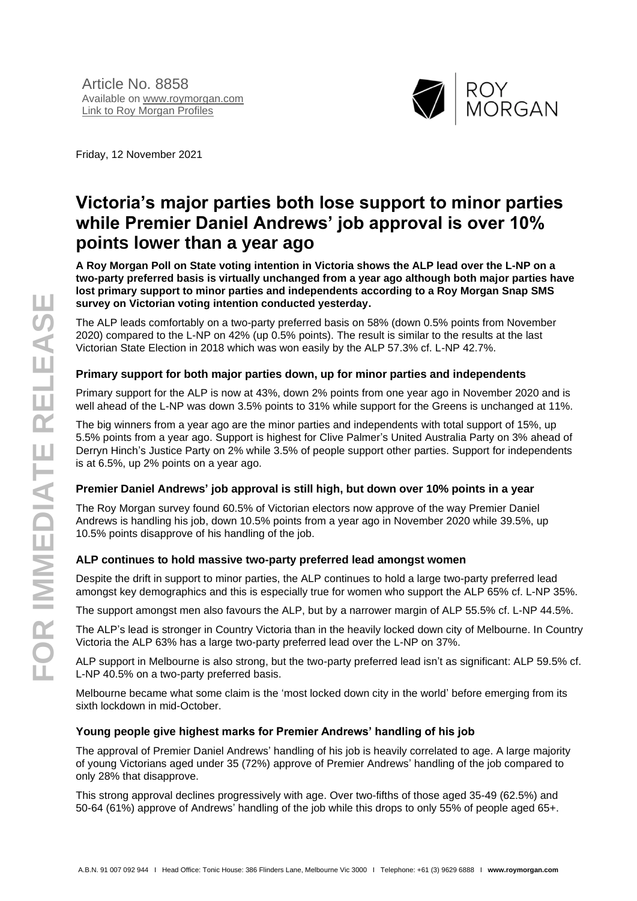

Friday, 12 November 2021

# **Victoria's major parties both lose support to minor parties while Premier Daniel Andrews' job approval is over 10% points lower than a year ago**

**A Roy Morgan Poll on State voting intention in Victoria shows the ALP lead over the L-NP on a two-party preferred basis is virtually unchanged from a year ago although both major parties have lost primary support to minor parties and independents according to a Roy Morgan Snap SMS survey on Victorian voting intention conducted yesterday.**

The ALP leads comfortably on a two-party preferred basis on 58% (down 0.5% points from November 2020) compared to the L-NP on 42% (up 0.5% points). The result is similar to the results at the last Victorian State Election in 2018 which was won easily by the ALP 57.3% cf. L-NP 42.7%.

### **Primary support for both major parties down, up for minor parties and independents**

Primary support for the ALP is now at 43%, down 2% points from one year ago in November 2020 and is well ahead of the L-NP was down 3.5% points to 31% while support for the Greens is unchanged at 11%.

The big winners from a year ago are the minor parties and independents with total support of 15%, up 5.5% points from a year ago. Support is highest for Clive Palmer's United Australia Party on 3% ahead of Derryn Hinch's Justice Party on 2% while 3.5% of people support other parties. Support for independents is at 6.5%, up 2% points on a year ago.

### **Premier Daniel Andrews' job approval is still high, but down over 10% points in a year**

The Roy Morgan survey found 60.5% of Victorian electors now approve of the way Premier Daniel Andrews is handling his job, down 10.5% points from a year ago in November 2020 while 39.5%, up 10.5% points disapprove of his handling of the job.

### **ALP continues to hold massive two-party preferred lead amongst women**

Despite the drift in support to minor parties, the ALP continues to hold a large two-party preferred lead amongst key demographics and this is especially true for women who support the ALP 65% cf. L-NP 35%.

The support amongst men also favours the ALP, but by a narrower margin of ALP 55.5% cf. L-NP 44.5%.

The ALP's lead is stronger in Country Victoria than in the heavily locked down city of Melbourne. In Country Victoria the ALP 63% has a large two-party preferred lead over the L-NP on 37%.

ALP support in Melbourne is also strong, but the two-party preferred lead isn't as significant: ALP 59.5% cf. L-NP 40.5% on a two-party preferred basis.

Melbourne became what some claim is the 'most locked down city in the world' before emerging from its sixth lockdown in mid-October.

### **Young people give highest marks for Premier Andrews' handling of his job**

The approval of Premier Daniel Andrews' handling of his job is heavily correlated to age. A large majority of young Victorians aged under 35 (72%) approve of Premier Andrews' handling of the job compared to only 28% that disapprove.

This strong approval declines progressively with age. Over two-fifths of those aged 35-49 (62.5%) and 50-64 (61%) approve of Andrews' handling of the job while this drops to only 55% of people aged 65+.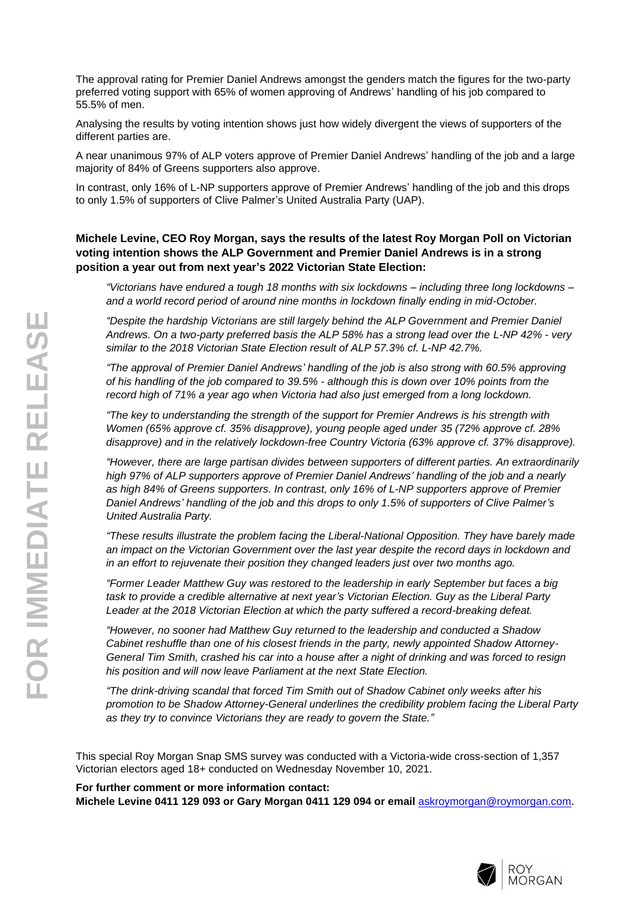The approval rating for Premier Daniel Andrews amongst the genders match the figures for the two-party preferred voting support with 65% of women approving of Andrews' handling of his job compared to 55.5% of men.

Analysing the results by voting intention shows just how widely divergent the views of supporters of the different parties are.

A near unanimous 97% of ALP voters approve of Premier Daniel Andrews' handling of the job and a large majority of 84% of Greens supporters also approve.

In contrast, only 16% of L-NP supporters approve of Premier Andrews' handling of the job and this drops to only 1.5% of supporters of Clive Palmer's United Australia Party (UAP).

### **Michele Levine, CEO Roy Morgan, says the results of the latest Roy Morgan Poll on Victorian voting intention shows the ALP Government and Premier Daniel Andrews is in a strong position a year out from next year's 2022 Victorian State Election:**

*"Victorians have endured a tough 18 months with six lockdowns – including three long lockdowns – and a world record period of around nine months in lockdown finally ending in mid-October.*

*"Despite the hardship Victorians are still largely behind the ALP Government and Premier Daniel*  Andrews. On a two-party preferred basis the ALP 58% has a strong lead over the L-NP 42% - very *similar to the 2018 Victorian State Election result of ALP 57.3% cf. L-NP 42.7%.*

*"The approval of Premier Daniel Andrews' handling of the job is also strong with 60.5% approving of his handling of the job compared to 39.5% - although this is down over 10% points from the record high of 71% a year ago when Victoria had also just emerged from a long lockdown.*

*"The key to understanding the strength of the support for Premier Andrews is his strength with Women (65% approve cf. 35% disapprove), young people aged under 35 (72% approve cf. 28% disapprove) and in the relatively lockdown-free Country Victoria (63% approve cf. 37% disapprove).*

*"However, there are large partisan divides between supporters of different parties. An extraordinarily high 97% of ALP supporters approve of Premier Daniel Andrews' handling of the job and a nearly as high 84% of Greens supporters. In contrast, only 16% of L-NP supporters approve of Premier Daniel Andrews' handling of the job and this drops to only 1.5% of supporters of Clive Palmer's United Australia Party.*

*"These results illustrate the problem facing the Liberal-National Opposition. They have barely made an impact on the Victorian Government over the last year despite the record days in lockdown and in an effort to rejuvenate their position they changed leaders just over two months ago.*

*"Former Leader Matthew Guy was restored to the leadership in early September but faces a big task to provide a credible alternative at next year's Victorian Election. Guy as the Liberal Party Leader at the 2018 Victorian Election at which the party suffered a record-breaking defeat.*

*"However, no sooner had Matthew Guy returned to the leadership and conducted a Shadow Cabinet reshuffle than one of his closest friends in the party, newly appointed Shadow Attorney-General Tim Smith, crashed his car into a house after a night of drinking and was forced to resign his position and will now leave Parliament at the next State Election.*

*"The drink-driving scandal that forced Tim Smith out of Shadow Cabinet only weeks after his promotion to be Shadow Attorney-General underlines the credibility problem facing the Liberal Party as they try to convince Victorians they are ready to govern the State."*

This special Roy Morgan Snap SMS survey was conducted with a Victoria-wide cross-section of 1,357 Victorian electors aged 18+ conducted on Wednesday November 10, 2021.

#### **For further comment or more information contact:**

**Michele Levine 0411 129 093 or Gary Morgan 0411 129 094 or email** [askroymorgan@roymorgan.com](mailto:askroymorgan@roymorgan.com).

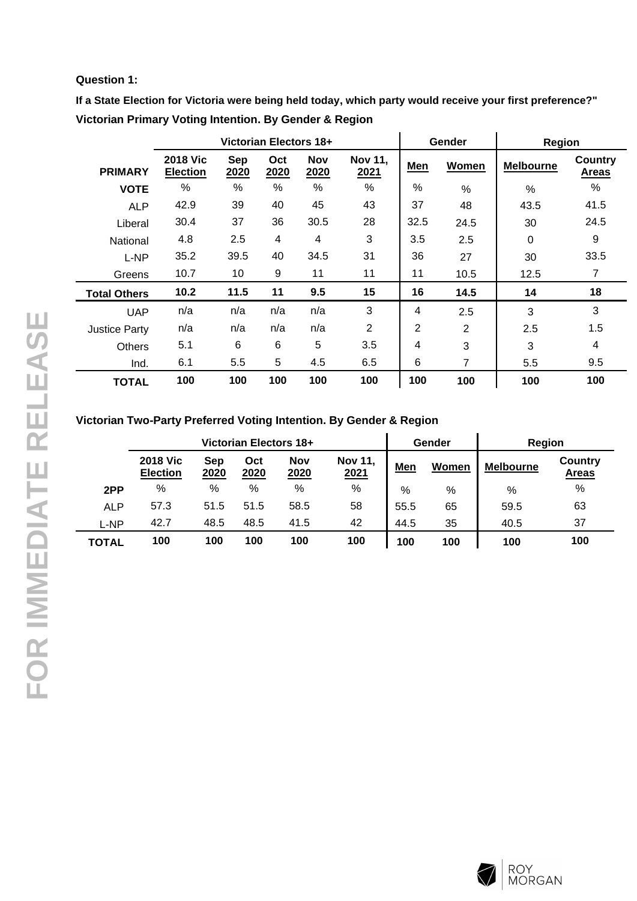### **Question 1:**

**If a State Election for Victoria were being held today, which party would receive your first preference?" Victorian Primary Voting Intention. By Gender & Region**

|                      | Victorian Electors 18+             |             |             |                    |                        |      | Gender        | Region           |                                |
|----------------------|------------------------------------|-------------|-------------|--------------------|------------------------|------|---------------|------------------|--------------------------------|
| <b>PRIMARY</b>       | <b>2018 Vic</b><br><b>Election</b> | Sep<br>2020 | Oct<br>2020 | <b>Nov</b><br>2020 | <b>Nov 11,</b><br>2021 | Men  | Women         | <b>Melbourne</b> | <b>Country</b><br><b>Areas</b> |
| <b>VOTE</b>          | %                                  | $\%$        | %           | %                  | %                      | $\%$ | $\frac{0}{0}$ | $\frac{0}{0}$    | %                              |
| <b>ALP</b>           | 42.9                               | 39          | 40          | 45                 | 43                     | 37   | 48            | 43.5             | 41.5                           |
| Liberal              | 30.4                               | 37          | 36          | 30.5               | 28                     | 32.5 | 24.5          | 30               | 24.5                           |
| National             | 4.8                                | 2.5         | 4           | 4                  | 3                      | 3.5  | 2.5           | 0                | 9                              |
| L-NP                 | 35.2                               | 39.5        | 40          | 34.5               | 31                     | 36   | 27            | 30               | 33.5                           |
| Greens               | 10.7                               | 10          | 9           | 11                 | 11                     | 11   | 10.5          | 12.5             | 7                              |
| <b>Total Others</b>  | 10.2                               | 11.5        | 11          | 9.5                | 15                     | 16   | 14.5          | 14               | 18                             |
| <b>UAP</b>           | n/a                                | n/a         | n/a         | n/a                | 3                      | 4    | 2.5           | 3                | 3                              |
| <b>Justice Party</b> | n/a                                | n/a         | n/a         | n/a                | 2                      | 2    | 2             | 2.5              | 1.5                            |
| <b>Others</b>        | 5.1                                | 6           | 6           | 5                  | 3.5                    | 4    | 3             | 3                | $\overline{4}$                 |
| Ind.                 | 6.1                                | 5.5         | 5           | 4.5                | 6.5                    | 6    | 7             | 5.5              | 9.5                            |
| <b>TOTAL</b>         | 100                                | 100         | 100         | 100                | 100                    | 100  | 100           | 100              | 100                            |

## **Victorian Two-Party Preferred Voting Intention. By Gender & Region**

|              | Victorian Electors 18+             |             |             |                    |                        |            | Gender | Region           |                         |
|--------------|------------------------------------|-------------|-------------|--------------------|------------------------|------------|--------|------------------|-------------------------|
|              | <b>2018 Vic</b><br><b>Election</b> | Sep<br>2020 | Oct<br>2020 | <b>Nov</b><br>2020 | <b>Nov 11,</b><br>2021 | <b>Men</b> | Women  | <b>Melbourne</b> | Country<br><b>Areas</b> |
| 2PP          | %                                  | %           | %           | %                  | %                      | %          | %      | %                | %                       |
| <b>ALP</b>   | 57.3                               | 51.5        | 51.5        | 58.5               | 58                     | 55.5       | 65     | 59.5             | 63                      |
| L-NP         | 42.7                               | 48.5        | 48.5        | 41.5               | 42                     | 44.5       | 35     | 40.5             | 37                      |
| <b>TOTAL</b> | 100                                | 100         | 100         | 100                | 100                    | 100        | 100    | 100              | 100                     |

L,